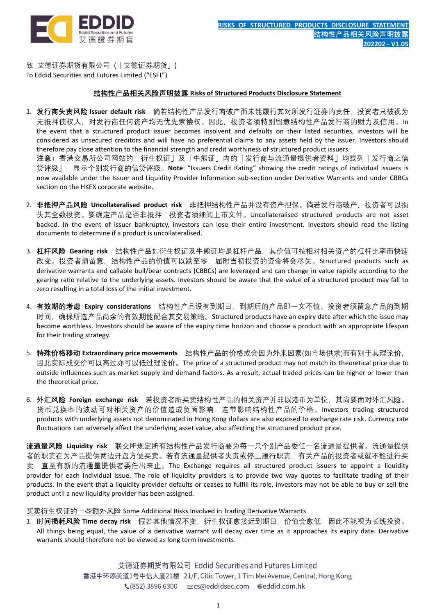

致 艾德证券期货有限公司 (「艾德证券期货」) To Eddid Securities and Futures Limited ("ESFL")

section on the HKEX corporate website.

## **结构性产品相关风险声明披露 Risks of Structured Products Disclosure Statement**

- 1. 发行商失责风险 Issuer default risk 倘若结构性产品发行商破产而未能履行其对所发行证券的责任,投资者只被视为 无抵押债权人,对发行商任何资产均无优先索偿权。因此,投资者须特别留意结构性产品发行商的财力及信用。In the event that a structured product issuer becomes insolvent and defaults on their listed securities, investors will be considered as unsecured creditors and will have no preferential claims to any assets held by the issuer. Investors should therefore pay close attention to the financial strength and credit worthiness of structured product issuers. **注意:**香港交易所公司网站的「衍生权证」及「牛熊证」内的「发行商与流通量提供者资料」均载列「发行商之信 贷评级」,显示个别发行商的信贷评级。**Note**: "Issuers Credit Rating" showing the credit ratings of individual issuers is now available under the Issuer and Liquidity Provider Information sub-section under Derivative Warrants and under CBBCs
- 2. **非抵押产品风险 Uncollateralised product risk** 非抵押结构性产品并没有资产担保。倘若发行商破产,投资者可以损 失其全数投资。要确定产品是否非抵押,投资者须细阅上市文件。Uncollateralised structured products are not asset backed. In the event of issuer bankruptcy, investors can lose their entire investment. Investors should read the listing documents to determine if a product is uncollateralised.
- 3. **杠杆风险 Gearing risk** 结构性产品如衍生权证及牛熊证均是杠杆产品,其价值可按相对相关资产的杠杆比率而快速 改变。投资者须留意,结构性产品的价值可以跌至零,届时当初投资的资金将会尽失。Structured products such as derivative warrants and callable bull/bear contracts (CBBCs) are leveraged and can change in value rapidly according to the gearing ratio relative to the underlying assets. Investors should be aware that the value of a structured product may fall to zero resulting in a total loss of the initial investment.
- 4. **有效期的考虑 Expiry considerations** 结构性产品设有到期日,到期后的产品即一文不值。投资者须留意产品的到期 时间,确保所选产品尚余的有效期能配合其交易策略。Structured products have an expiry date after which the issue may become worthless. Investors should be aware of the expiry time horizon and choose a product with an appropriate lifespan for their trading strategy.
- 5. **特殊价格移动 Extraordinary price movements** 结构性产品的价格或会因为外来因素(如市场供求)而有别于其理论价, 因此实际成交价可以高过亦可以低过理论价。The price of a structured product may not match its theoretical price due to outside influences such as market supply and demand factors. As a result, actual traded prices can be higher or lower than the theoretical price.
- 6. **外汇风险 Foreign exchange risk** 若投资者所买卖结构性产品的相关资产并非以港币为单位,其尚要面对外汇风险。 货币兑换率的波动可对相关资产的价值造成负面影响,连带影响结构性产品的价格。Investors trading structured products with underlying assets not denominated in Hong Kong dollars are also exposed to exchange rate risk. Currency rate fluctuations can adversely affect the underlying asset value, also affecting the structured product price.

**流通量风险 Liquidity risk** 联交所规定所有结构性产品发行商要为每一只个别产品委任一名流通量提供者。流通量提供 者的职责在为产品提供两边开盘方便买卖。若有流通量提供者失责或停止履行职责,有关产品的投资者或就不能进行买 卖,直至有新的流通量提供者委任出来止。The Exchange requires all structured product issuers to appoint a liquidity provider for each individual issue. The role of liquidity providers is to provide two way quotes to facilitate trading of their products. In the event that a liquidity provider defaults or ceases to fulfill its role, investors may not be able to buy or sell the product until a new liquidity provider has been assigned.

买卖衍生权证的一些额外风险 Some Additional Risks Involved in Trading Derivative Warrants

1. **时间损耗风险 Time decay risk** 假若其他情况不变,衍生权证愈接近到期日,价值会愈低,因此不能视为长线投资。 All things being equal, the value of a derivative warrant will decay over time as it approaches its expiry date. Derivative warrants should therefore not be viewed as long term investments.

> 艾德证券期货有限公司 Eddid Securities and Futures Limited 香港中环添美道1号中信大厦21楼 21/F, Citic Tower, 1 Tim Mei Avenue, Central, Hong Kong € (852) 3896 6300 mcs@eddidsec.com @eddid.com.hk